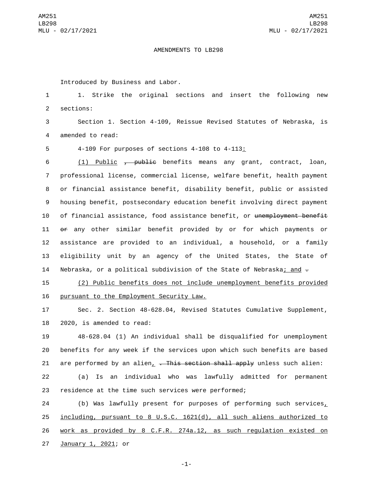## AMENDMENTS TO LB298

Introduced by Business and Labor.

1 1. Strike the original sections and insert the following new 2 sections:

3 Section 1. Section 4-109, Reissue Revised Statutes of Nebraska, is 4 amended to read:

5 4-109 For purposes of sections 4-108 to 4-113:

 (1) Public , public benefits means any grant, contract, loan, professional license, commercial license, welfare benefit, health payment or financial assistance benefit, disability benefit, public or assisted housing benefit, postsecondary education benefit involving direct payment 10 of financial assistance, food assistance benefit, or unemployment benefit or any other similar benefit provided by or for which payments or assistance are provided to an individual, a household, or a family eligibility unit by an agency of the United States, the State of 14 Nebraska, or a political subdivision of the State of Nebraska; and  $\overline{z}$ 

15 (2) Public benefits does not include unemployment benefits provided 16 pursuant to the Employment Security Law.

17 Sec. 2. Section 48-628.04, Revised Statutes Cumulative Supplement, 18 2020, is amended to read:

19 48-628.04 (1) An individual shall be disqualified for unemployment 20 benefits for any week if the services upon which such benefits are based 21 are performed by an alien,  $\overline{ }$ . This section shall apply unless such alien:

22 (a) Is an individual who was lawfully admitted for permanent 23 residence at the time such services were performed;

 (b) Was lawfully present for purposes of performing such services, including, pursuant to 8 U.S.C. 1621(d), all such aliens authorized to work as provided by 8 C.F.R. 274a.12, as such regulation existed on 27 January 1, 2021; or

-1-